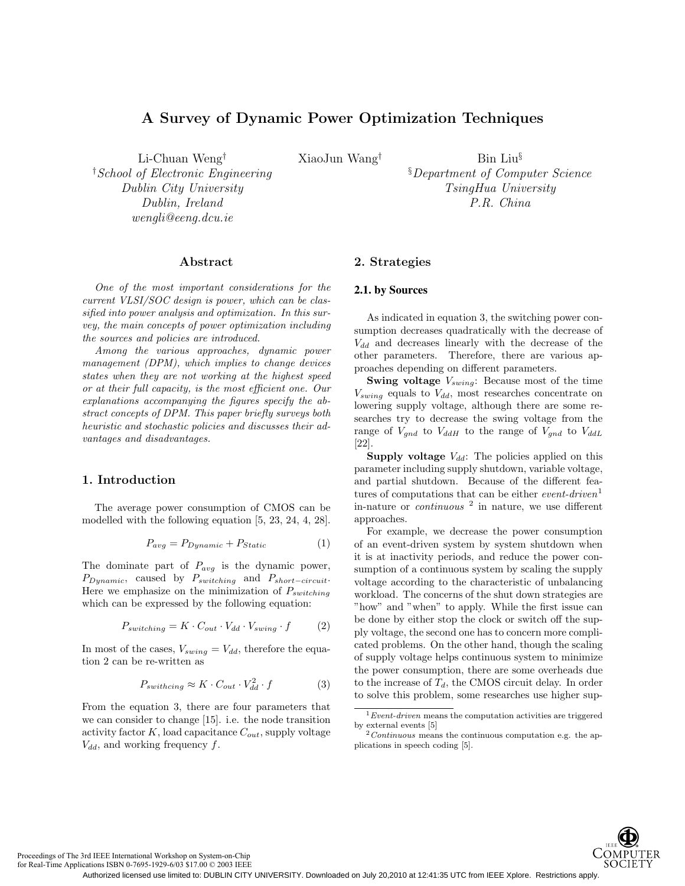# **A Survey of Dynamic Power Optimization Techniques**

Li-Chuan Weng† † *School of Electronic Engineering Dublin City University Dublin, Ireland wengli@eeng.dcu.ie*

XiaoJun Wang† Bin Liu§ § *Department of Computer Science TsingHua University P.R. China*

# **Abstract**

One of the most important considerations for the current VLSI/SOC design is power, which can be classified into power analysis and optimization. In this survey, the main concepts of power optimization including the sources and policies are introduced.

Among the various approaches, dynamic power management (DPM), which implies to change devices states when they are not working at the highest speed or at their full capacity, is the most efficient one. Our explanations accompanying the figures specify the abstract concepts of DPM. This paper briefly surveys both heuristic and stochastic policies and discusses their advantages and disadvantages.

# **1. Introduction**

The average power consumption of CMOS can be modelled with the following equation [5, 23, 24, 4, 28].

$$
P_{avg} = P_{Dynamic} + P_{Static}
$$
 (1)

The dominate part of  $P_{avg}$  is the dynamic power,  $P_{Dynamic}$ , caused by  $P_{switching}$  and  $P_{short-circuit}$ . Here we emphasize on the minimization of  $P_{switching}$ which can be expressed by the following equation:

$$
P_{switching} = K \cdot C_{out} \cdot V_{dd} \cdot V_{swing} \cdot f \tag{2}
$$

In most of the cases,  $V_{\text{swing}} = V_{dd}$ , therefore the equation 2 can be re-written as

$$
P_{switchcing} \approx K \cdot C_{out} \cdot V_{dd}^2 \cdot f \tag{3}
$$

From the equation 3, there are four parameters that we can consider to change [15]. i.e. the node transition activity factor  $K$ , load capacitance  $C_{out}$ , supply voltage  $V_{dd}$ , and working frequency  $f$ .

# **2. Strategies**

## **2.1. by Sources**

As indicated in equation 3, the switching power consumption decreases quadratically with the decrease of  $V_{dd}$  and decreases linearly with the decrease of the other parameters. Therefore, there are various approaches depending on different parameters.

**Swing voltage**  $V_{swing}$ : Because most of the time  $V_{swing}$  equals to  $V_{dd}$ , most researches concentrate on lowering supply voltage, although there are some researches try to decrease the swing voltage from the range of  $V_{gnd}$  to  $V_{ddH}$  to the range of  $V_{gnd}$  to  $V_{ddL}$ [22].

**Supply voltage**  $V_{dd}$ : The policies applied on this parameter including supply shutdown, variable voltage, and partial shutdown. Because of the different features of computations that can be either *event-driven*<sup>1</sup> in-nature or *continuous*  $^2$  in nature, we use different approaches.

For example, we decrease the power consumption of an event-driven system by system shutdown when it is at inactivity periods, and reduce the power consumption of a continuous system by scaling the supply voltage according to the characteristic of unbalancing workload. The concerns of the shut down strategies are "how" and "when" to apply. While the first issue can be done by either stop the clock or switch off the supply voltage, the second one has to concern more complicated problems. On the other hand, though the scaling of supply voltage helps continuous system to minimize the power consumption, there are some overheads due to the increase of  $T_d$ , the CMOS circuit delay. In order to solve this problem, some researches use higher sup-



Proceedings of The 3rd IEEE International Workshop on System-on-Chip

 $1$  Event-driven means the computation activities are triggered by external events [5]  $\frac{2\text{ Continuous}}{2\text{Continuous}}$  continuous computation e.g. the ap-

plications in speech coding [5].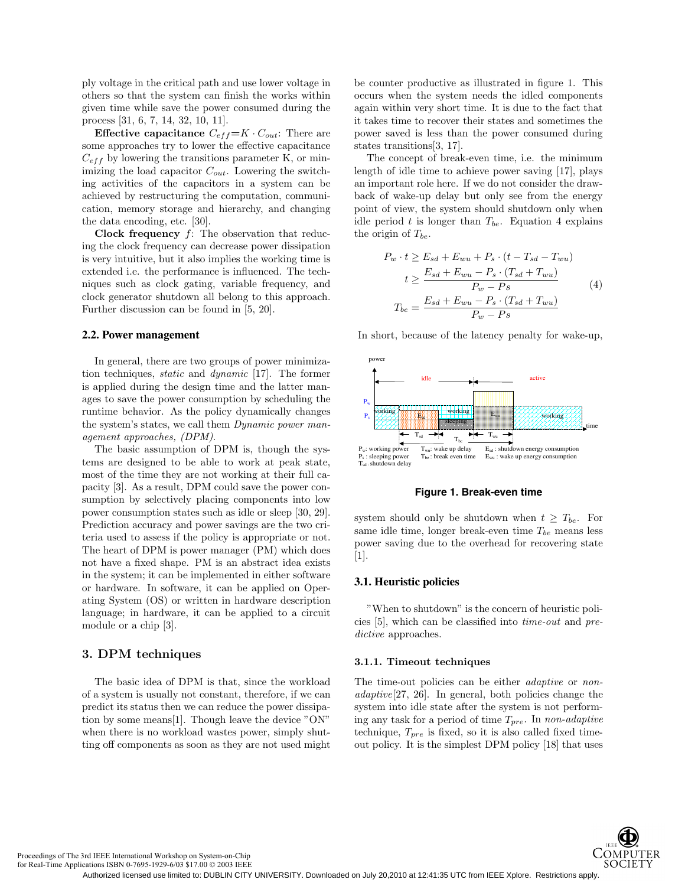ply voltage in the critical path and use lower voltage in others so that the system can finish the works within given time while save the power consumed during the process [31, 6, 7, 14, 32, 10, 11].

**Effective capacitance**  $C_{eff} = K \cdot C_{out}$ : There are some approaches try to lower the effective capacitance  $C_{eff}$  by lowering the transitions parameter K, or minimizing the load capacitor  $C_{out}$ . Lowering the switching activities of the capacitors in a system can be achieved by restructuring the computation, communication, memory storage and hierarchy, and changing the data encoding, etc. [30].

**Clock frequency** f: The observation that reducing the clock frequency can decrease power dissipation is very intuitive, but it also implies the working time is extended i.e. the performance is influenced. The techniques such as clock gating, variable frequency, and clock generator shutdown all belong to this approach. Further discussion can be found in [5, 20].

#### **2.2. Power management**

In general, there are two groups of power minimization techniques, static and dynamic [17]. The former is applied during the design time and the latter manages to save the power consumption by scheduling the runtime behavior. As the policy dynamically changes the system's states, we call them *Dynamic power man*agement approaches, (DPM).

The basic assumption of DPM is, though the systems are designed to be able to work at peak state, most of the time they are not working at their full capacity [3]. As a result, DPM could save the power consumption by selectively placing components into low power consumption states such as idle or sleep [30, 29]. Prediction accuracy and power savings are the two criteria used to assess if the policy is appropriate or not. The heart of DPM is power manager (PM) which does not have a fixed shape. PM is an abstract idea exists in the system; it can be implemented in either software or hardware. In software, it can be applied on Operating System (OS) or written in hardware description language; in hardware, it can be applied to a circuit module or a chip [3].

# **3. DPM techniques**

The basic idea of DPM is that, since the workload of a system is usually not constant, therefore, if we can predict its status then we can reduce the power dissipation by some means[1]. Though leave the device "ON" when there is no workload wastes power, simply shutting off components as soon as they are not used might

be counter productive as illustrated in figure 1. This occurs when the system needs the idled components again within very short time. It is due to the fact that it takes time to recover their states and sometimes the power saved is less than the power consumed during states transitions[3, 17].

The concept of break-even time, i.e. the minimum length of idle time to achieve power saving [17], plays an important role here. If we do not consider the drawback of wake-up delay but only see from the energy point of view, the system should shutdown only when idle period t is longer than  $T_{be}$ . Equation 4 explains the origin of  $T_{be}$ .

$$
P_w \cdot t \ge E_{sd} + E_{wu} + P_s \cdot (t - T_{sd} - T_{wu})
$$

$$
t \ge \frac{E_{sd} + E_{wu} - P_s \cdot (T_{sd} + T_{wu})}{P_w - Ps} \tag{4}
$$

$$
T_{be} = \frac{E_{sd} + E_{wu} - P_s \cdot (T_{sd} + T_{wu})}{P_w - Ps}
$$

In short, because of the latency penalty for wake-up,



#### **Figure 1. Break-even time**

system should only be shutdown when  $t \geq T_{be}$ . For same idle time, longer break-even time  $T_{be}$  means less power saving due to the overhead for recovering state [1].

## **3.1. Heuristic policies**

"When to shutdown" is the concern of heuristic policies [5], which can be classified into time-out and predictive approaches.

#### **3.1.1. Timeout techniques**

The time-out policies can be either *adaptive* or *non*adaptive[27, 26]. In general, both policies change the system into idle state after the system is not performing any task for a period of time  $T_{pre}$ . In non-adaptive technique,  $T_{pre}$  is fixed, so it is also called fixed timeout policy. It is the simplest DPM policy [18] that uses



Proceedings of The 3rd IEEE International Workshop on System-on-Chip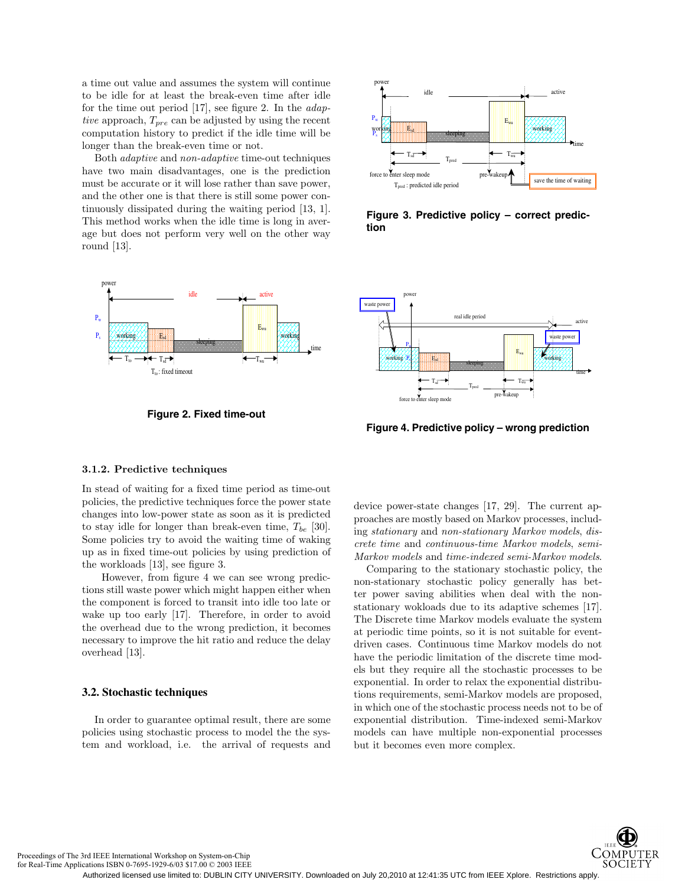a time out value and assumes the system will continue to be idle for at least the break-even time after idle for the time out period [17], see figure 2. In the *adap*tive approach,  $T_{pre}$  can be adjusted by using the recent computation history to predict if the idle time will be longer than the break-even time or not.

Both adaptive and non-adaptive time-out techniques have two main disadvantages, one is the prediction must be accurate or it will lose rather than save power, and the other one is that there is still some power continuously dissipated during the waiting period [13, 1]. This method works when the idle time is long in average but does not perform very well on the other way round [13].



**Figure 2. Fixed time-out**



**Figure 3. Predictive policy – correct prediction**



**Figure 4. Predictive policy – wrong prediction**

#### **3.1.2. Predictive techniques**

In stead of waiting for a fixed time period as time-out policies, the predictive techniques force the power state changes into low-power state as soon as it is predicted to stay idle for longer than break-even time,  $T_{be}$  [30]. Some policies try to avoid the waiting time of waking up as in fixed time-out policies by using prediction of the workloads [13], see figure 3.

However, from figure 4 we can see wrong predictions still waste power which might happen either when the component is forced to transit into idle too late or wake up too early [17]. Therefore, in order to avoid the overhead due to the wrong prediction, it becomes necessary to improve the hit ratio and reduce the delay overhead [13].

### **3.2. Stochastic techniques**

In order to guarantee optimal result, there are some policies using stochastic process to model the the system and workload, i.e. the arrival of requests and device power-state changes [17, 29]. The current approaches are mostly based on Markov processes, including stationary and non-stationary Markov models, discrete time and continuous-time Markov models, semi-Markov models and time-indexed semi-Markov models.

Comparing to the stationary stochastic policy, the non-stationary stochastic policy generally has better power saving abilities when deal with the nonstationary wokloads due to its adaptive schemes [17]. The Discrete time Markov models evaluate the system at periodic time points, so it is not suitable for eventdriven cases. Continuous time Markov models do not have the periodic limitation of the discrete time models but they require all the stochastic processes to be exponential. In order to relax the exponential distributions requirements, semi-Markov models are proposed, in which one of the stochastic process needs not to be of exponential distribution. Time-indexed semi-Markov models can have multiple non-exponential processes but it becomes even more complex.



Proceedings of The 3rd IEEE International Workshop on System-on-Chip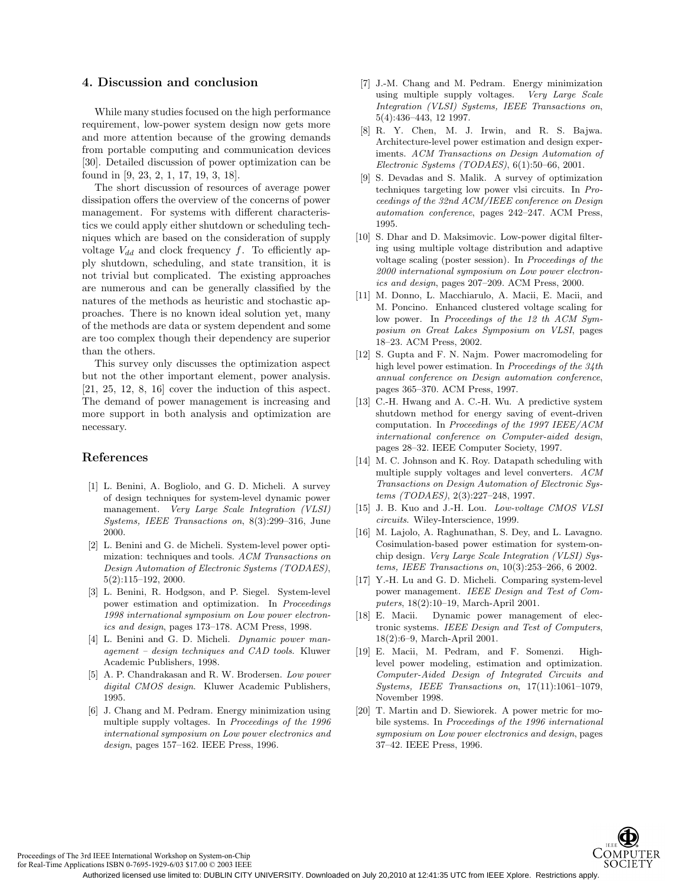# **4. Discussion and conclusion**

While many studies focused on the high performance requirement, low-power system design now gets more and more attention because of the growing demands from portable computing and communication devices [30]. Detailed discussion of power optimization can be found in [9, 23, 2, 1, 17, 19, 3, 18].

The short discussion of resources of average power dissipation offers the overview of the concerns of power management. For systems with different characteristics we could apply either shutdown or scheduling techniques which are based on the consideration of supply voltage  $V_{dd}$  and clock frequency f. To efficiently apply shutdown, scheduling, and state transition, it is not trivial but complicated. The existing approaches are numerous and can be generally classified by the natures of the methods as heuristic and stochastic approaches. There is no known ideal solution yet, many of the methods are data or system dependent and some are too complex though their dependency are superior than the others.

This survey only discusses the optimization aspect but not the other important element, power analysis.  $[21, 25, 12, 8, 16]$  cover the induction of this aspect. The demand of power management is increasing and more support in both analysis and optimization are necessary.

### **References**

- [1] L. Benini, A. Bogliolo, and G. D. Micheli. A survey of design techniques for system-level dynamic power management. Very Large Scale Integration (VLSI) Systems, IEEE Transactions on, 8(3):299–316, June 2000.
- [2] L. Benini and G. de Micheli. System-level power optimization: techniques and tools. ACM Transactions on Design Automation of Electronic Systems (TODAES), 5(2):115–192, 2000.
- [3] L. Benini, R. Hodgson, and P. Siegel. System-level power estimation and optimization. In Proceedings 1998 international symposium on Low power electronics and design, pages 173–178. ACM Press, 1998.
- [4] L. Benini and G. D. Micheli. Dynamic power management – design techniques and CAD tools. Kluwer Academic Publishers, 1998.
- [5] A. P. Chandrakasan and R. W. Brodersen. Low power digital CMOS design. Kluwer Academic Publishers, 1995.
- [6] J. Chang and M. Pedram. Energy minimization using multiple supply voltages. In Proceedings of the 1996 international symposium on Low power electronics and design, pages 157–162. IEEE Press, 1996.
- [7] J.-M. Chang and M. Pedram. Energy minimization using multiple supply voltages. Very Large Scale Integration (VLSI) Systems, IEEE Transactions on, 5(4):436–443, 12 1997.
- [8] R. Y. Chen, M. J. Irwin, and R. S. Bajwa. Architecture-level power estimation and design experiments. ACM Transactions on Design Automation of Electronic Systems (TODAES), 6(1):50–66, 2001.
- [9] S. Devadas and S. Malik. A survey of optimization techniques targeting low power vlsi circuits. In Proceedings of the 32nd ACM/IEEE conference on Design automation conference, pages 242–247. ACM Press, 1995.
- [10] S. Dhar and D. Maksimovic. Low-power digital filtering using multiple voltage distribution and adaptive voltage scaling (poster session). In Proceedings of the 2000 international symposium on Low power electronics and design, pages 207–209. ACM Press, 2000.
- [11] M. Donno, L. Macchiarulo, A. Macii, E. Macii, and M. Poncino. Enhanced clustered voltage scaling for low power. In Proceedings of the 12 th ACM Symposium on Great Lakes Symposium on VLSI, pages 18–23. ACM Press, 2002.
- [12] S. Gupta and F. N. Najm. Power macromodeling for high level power estimation. In Proceedings of the 34th annual conference on Design automation conference, pages 365–370. ACM Press, 1997.
- [13] C.-H. Hwang and A. C.-H. Wu. A predictive system shutdown method for energy saving of event-driven computation. In Proceedings of the 1997 IEEE/ACM international conference on Computer-aided design, pages 28–32. IEEE Computer Society, 1997.
- [14] M. C. Johnson and K. Roy. Datapath scheduling with multiple supply voltages and level converters. ACM Transactions on Design Automation of Electronic Systems (TODAES), 2(3):227–248, 1997.
- [15] J. B. Kuo and J.-H. Lou. *Low-voltage CMOS VLSI* circuits. Wiley-Interscience, 1999.
- [16] M. Lajolo, A. Raghunathan, S. Dey, and L. Lavagno. Cosimulation-based power estimation for system-onchip design. Very Large Scale Integration (VLSI) Systems, IEEE Transactions on, 10(3):253–266, 6 2002.
- [17] Y.-H. Lu and G. D. Micheli. Comparing system-level power management. IEEE Design and Test of Computers, 18(2):10–19, March-April 2001.
- [18] E. Macii. Dynamic power management of electronic systems. IEEE Design and Test of Computers, 18(2):6–9, March-April 2001.
- [19] E. Macii, M. Pedram, and F. Somenzi. Highlevel power modeling, estimation and optimization. Computer-Aided Design of Integrated Circuits and Systems, IEEE Transactions on, 17(11):1061–1079, November 1998.
- [20] T. Martin and D. Siewiorek. A power metric for mobile systems. In Proceedings of the 1996 international symposium on Low power electronics and design, pages 37–42. IEEE Press, 1996.



Proceedings of The 3rd IEEE International Workshop on System-on-Chip